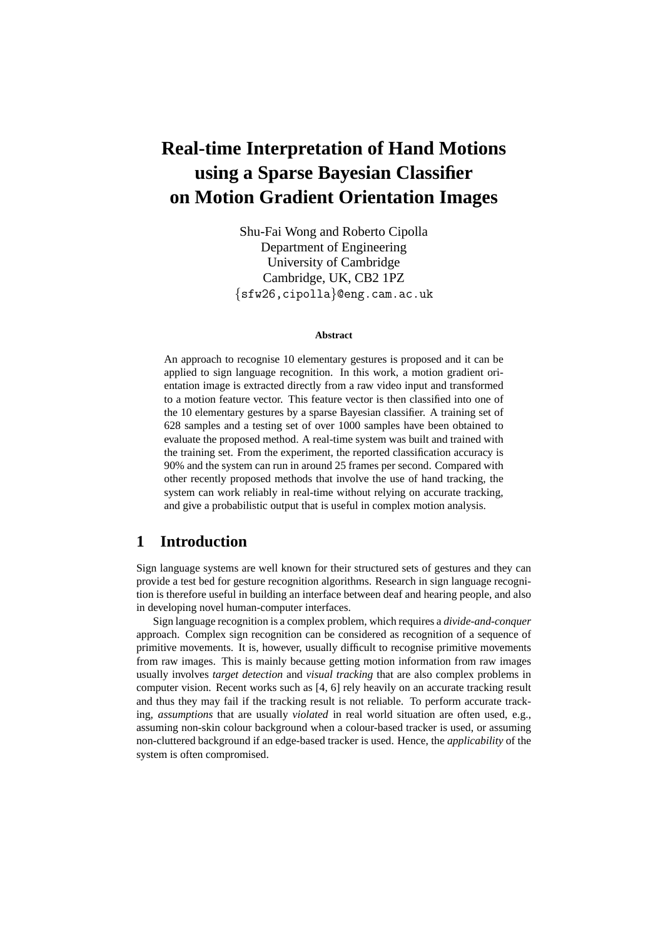# **Real-time Interpretation of Hand Motions using a Sparse Bayesian Classifier on Motion Gradient Orientation Images**

Shu-Fai Wong and Roberto Cipolla Department of Engineering University of Cambridge Cambridge, UK, CB2 1PZ {sfw26,cipolla}@eng.cam.ac.uk

#### **Abstract**

An approach to recognise 10 elementary gestures is proposed and it can be applied to sign language recognition. In this work, a motion gradient orientation image is extracted directly from a raw video input and transformed to a motion feature vector. This feature vector is then classified into one of the 10 elementary gestures by a sparse Bayesian classifier. A training set of 628 samples and a testing set of over 1000 samples have been obtained to evaluate the proposed method. A real-time system was built and trained with the training set. From the experiment, the reported classification accuracy is 90% and the system can run in around 25 frames per second. Compared with other recently proposed methods that involve the use of hand tracking, the system can work reliably in real-time without relying on accurate tracking, and give a probabilistic output that is useful in complex motion analysis.

# **1 Introduction**

Sign language systems are well known for their structured sets of gestures and they can provide a test bed for gesture recognition algorithms. Research in sign language recognition is therefore useful in building an interface between deaf and hearing people, and also in developing novel human-computer interfaces.

Sign language recognition is a complex problem, which requires a *divide-and-conquer* approach. Complex sign recognition can be considered as recognition of a sequence of primitive movements. It is, however, usually difficult to recognise primitive movements from raw images. This is mainly because getting motion information from raw images usually involves *target detection* and *visual tracking* that are also complex problems in computer vision. Recent works such as [4, 6] rely heavily on an accurate tracking result and thus they may fail if the tracking result is not reliable. To perform accurate tracking, *assumptions* that are usually *violated* in real world situation are often used, e.g., assuming non-skin colour background when a colour-based tracker is used, or assuming non-cluttered background if an edge-based tracker is used. Hence, the *applicability* of the system is often compromised.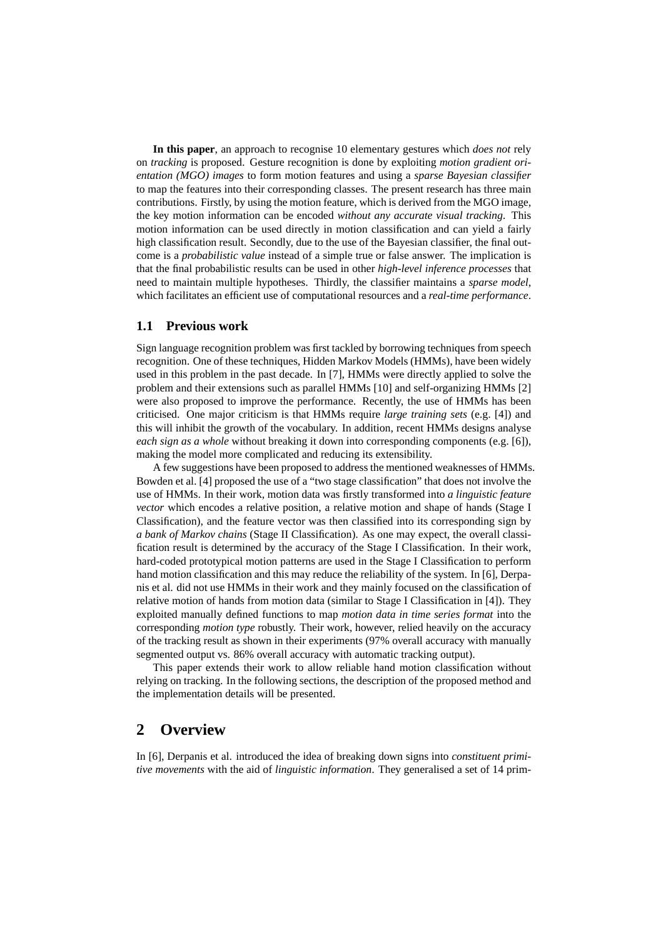**In this paper**, an approach to recognise 10 elementary gestures which *does not* rely on *tracking* is proposed. Gesture recognition is done by exploiting *motion gradient orientation (MGO) images* to form motion features and using a *sparse Bayesian classifier* to map the features into their corresponding classes. The present research has three main contributions. Firstly, by using the motion feature, which is derived from the MGO image, the key motion information can be encoded *without any accurate visual tracking*. This motion information can be used directly in motion classification and can yield a fairly high classification result. Secondly, due to the use of the Bayesian classifier, the final outcome is a *probabilistic value* instead of a simple true or false answer. The implication is that the final probabilistic results can be used in other *high-level inference processes* that need to maintain multiple hypotheses. Thirdly, the classifier maintains a *sparse model*, which facilitates an efficient use of computational resources and a *real-time performance*.

#### **1.1 Previous work**

Sign language recognition problem was first tackled by borrowing techniques from speech recognition. One of these techniques, Hidden Markov Models (HMMs), have been widely used in this problem in the past decade. In [7], HMMs were directly applied to solve the problem and their extensions such as parallel HMMs [10] and self-organizing HMMs [2] were also proposed to improve the performance. Recently, the use of HMMs has been criticised. One major criticism is that HMMs require *large training sets* (e.g. [4]) and this will inhibit the growth of the vocabulary. In addition, recent HMMs designs analyse *each sign as a whole* without breaking it down into corresponding components (e.g. [6]), making the model more complicated and reducing its extensibility.

A few suggestions have been proposed to address the mentioned weaknesses of HMMs. Bowden et al. [4] proposed the use of a "two stage classification" that does not involve the use of HMMs. In their work, motion data was firstly transformed into *a linguistic feature vector* which encodes a relative position, a relative motion and shape of hands (Stage I Classification), and the feature vector was then classified into its corresponding sign by *a bank of Markov chains* (Stage II Classification). As one may expect, the overall classification result is determined by the accuracy of the Stage I Classification. In their work, hard-coded prototypical motion patterns are used in the Stage I Classification to perform hand motion classification and this may reduce the reliability of the system. In [6], Derpanis et al. did not use HMMs in their work and they mainly focused on the classification of relative motion of hands from motion data (similar to Stage I Classification in [4]). They exploited manually defined functions to map *motion data in time series format* into the corresponding *motion type* robustly. Their work, however, relied heavily on the accuracy of the tracking result as shown in their experiments (97% overall accuracy with manually segmented output vs. 86% overall accuracy with automatic tracking output).

This paper extends their work to allow reliable hand motion classification without relying on tracking. In the following sections, the description of the proposed method and the implementation details will be presented.

# **2 Overview**

In [6], Derpanis et al. introduced the idea of breaking down signs into *constituent primitive movements* with the aid of *linguistic information*. They generalised a set of 14 prim-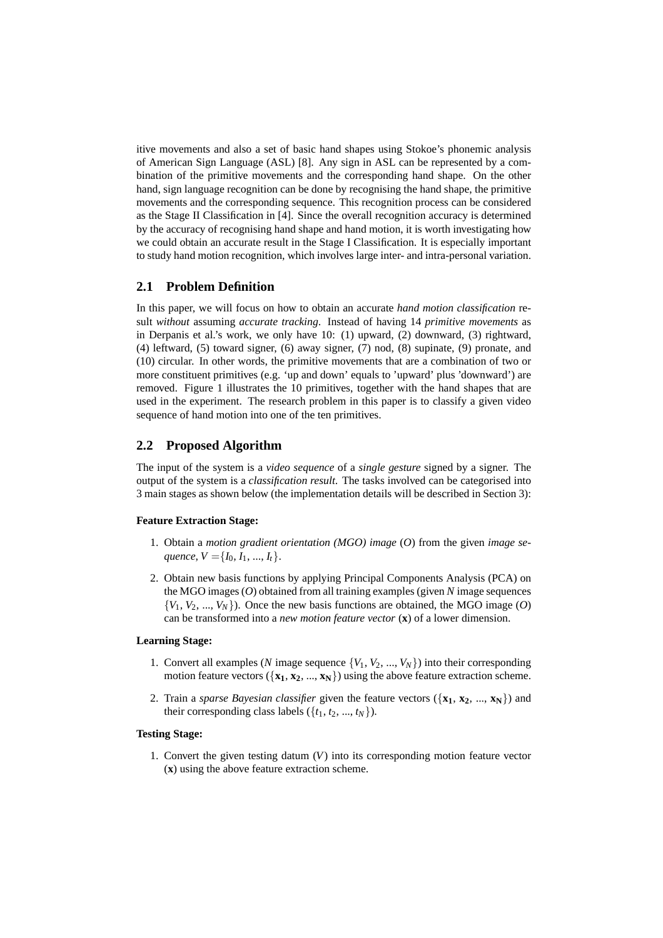itive movements and also a set of basic hand shapes using Stokoe's phonemic analysis of American Sign Language (ASL) [8]. Any sign in ASL can be represented by a combination of the primitive movements and the corresponding hand shape. On the other hand, sign language recognition can be done by recognising the hand shape, the primitive movements and the corresponding sequence. This recognition process can be considered as the Stage II Classification in [4]. Since the overall recognition accuracy is determined by the accuracy of recognising hand shape and hand motion, it is worth investigating how we could obtain an accurate result in the Stage I Classification. It is especially important to study hand motion recognition, which involves large inter- and intra-personal variation.

## **2.1 Problem Definition**

In this paper, we will focus on how to obtain an accurate *hand motion classification* result *without* assuming *accurate tracking*. Instead of having 14 *primitive movements* as in Derpanis et al.'s work, we only have 10: (1) upward, (2) downward, (3) rightward, (4) leftward, (5) toward signer, (6) away signer, (7) nod, (8) supinate, (9) pronate, and (10) circular. In other words, the primitive movements that are a combination of two or more constituent primitives (e.g. 'up and down' equals to 'upward' plus 'downward') are removed. Figure 1 illustrates the 10 primitives, together with the hand shapes that are used in the experiment. The research problem in this paper is to classify a given video sequence of hand motion into one of the ten primitives.

## **2.2 Proposed Algorithm**

The input of the system is a *video sequence* of a *single gesture* signed by a signer. The output of the system is a *classification result*. The tasks involved can be categorised into 3 main stages as shown below (the implementation details will be described in Section 3):

#### **Feature Extraction Stage:**

- 1. Obtain a *motion gradient orientation (MGO) image* (*O*) from the given *image seguence*,  $V = \{I_0, I_1, ..., I_t\}.$
- 2. Obtain new basis functions by applying Principal Components Analysis (PCA) on the MGO images (*O*) obtained from all training examples (given *N* image sequences  ${V_1, V_2, ..., V_N}$ . Once the new basis functions are obtained, the MGO image (*O*) can be transformed into a *new motion feature vector* (**x**) of a lower dimension.

#### **Learning Stage:**

- 1. Convert all examples (*N* image sequence  $\{V_1, V_2, ..., V_N\}$ ) into their corresponding motion feature vectors  $({x_1, x_2, ..., x_N})$  using the above feature extraction scheme.
- 2. Train a *sparse Bayesian classifier* given the feature vectors ({**x1**, **x2**, ..., **xN**}) and their corresponding class labels  $({t_1, t_2, ..., t_N})$ .

#### **Testing Stage:**

1. Convert the given testing datum (*V*) into its corresponding motion feature vector (**x**) using the above feature extraction scheme.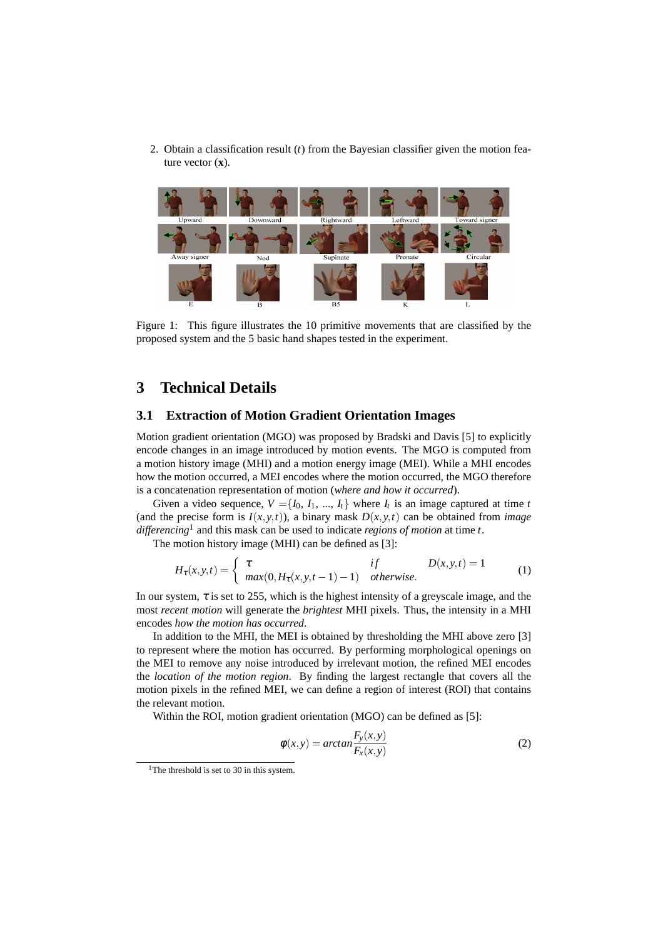2. Obtain a classification result (*t*) from the Bayesian classifier given the motion feature vector (**x**).



Figure 1: This figure illustrates the 10 primitive movements that are classified by the proposed system and the 5 basic hand shapes tested in the experiment.

# **3 Technical Details**

#### **3.1 Extraction of Motion Gradient Orientation Images**

Motion gradient orientation (MGO) was proposed by Bradski and Davis [5] to explicitly encode changes in an image introduced by motion events. The MGO is computed from a motion history image (MHI) and a motion energy image (MEI). While a MHI encodes how the motion occurred, a MEI encodes where the motion occurred, the MGO therefore is a concatenation representation of motion (*where and how it occurred*).

Given a video sequence,  $V = \{I_0, I_1, ..., I_t\}$  where  $I_t$  is an image captured at time *t* (and the precise form is  $I(x, y, t)$ ), a binary mask  $D(x, y, t)$  can be obtained from *image differencing*<sup>1</sup> and this mask can be used to indicate *regions of motion* at time *t*.

The motion history image (MHI) can be defined as [3]:

$$
H_{\tau}(x, y, t) = \begin{cases} \tau & \text{if} \\ \max(0, H_{\tau}(x, y, t-1) - 1) & \text{otherwise.} \end{cases}
$$
 (1)

In our system,  $\tau$  is set to 255, which is the highest intensity of a greyscale image, and the most *recent motion* will generate the *brightest* MHI pixels. Thus, the intensity in a MHI encodes *how the motion has occurred*.

In addition to the MHI, the MEI is obtained by thresholding the MHI above zero [3] to represent where the motion has occurred. By performing morphological openings on the MEI to remove any noise introduced by irrelevant motion, the refined MEI encodes the *location of the motion region*. By finding the largest rectangle that covers all the motion pixels in the refined MEI, we can define a region of interest (ROI) that contains the relevant motion.

Within the ROI, motion gradient orientation (MGO) can be defined as [5]:

$$
\phi(x, y) = \arctan \frac{F_y(x, y)}{F_x(x, y)}
$$
\n(2)

<sup>&</sup>lt;sup>1</sup>The threshold is set to 30 in this system.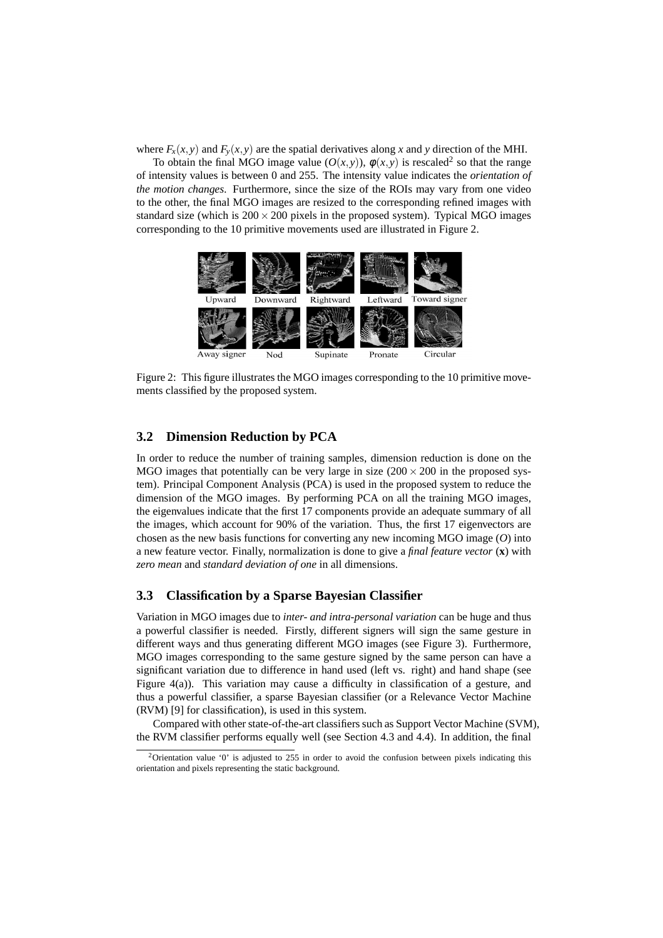where  $F_x(x, y)$  and  $F_y(x, y)$  are the spatial derivatives along *x* and *y* direction of the MHI.

To obtain the final MGO image value  $(O(x, y))$ ,  $\phi(x, y)$  is rescaled<sup>2</sup> so that the range of intensity values is between 0 and 255. The intensity value indicates the *orientation of the motion changes*. Furthermore, since the size of the ROIs may vary from one video to the other, the final MGO images are resized to the corresponding refined images with standard size (which is  $200 \times 200$  pixels in the proposed system). Typical MGO images corresponding to the 10 primitive movements used are illustrated in Figure 2.



Figure 2: This figure illustrates the MGO images corresponding to the 10 primitive movements classified by the proposed system.

#### **3.2 Dimension Reduction by PCA**

In order to reduce the number of training samples, dimension reduction is done on the MGO images that potentially can be very large in size  $(200 \times 200)$  in the proposed system). Principal Component Analysis (PCA) is used in the proposed system to reduce the dimension of the MGO images. By performing PCA on all the training MGO images, the eigenvalues indicate that the first 17 components provide an adequate summary of all the images, which account for 90% of the variation. Thus, the first 17 eigenvectors are chosen as the new basis functions for converting any new incoming MGO image (*O*) into a new feature vector. Finally, normalization is done to give a *final feature vector* (**x**) with *zero mean* and *standard deviation of one* in all dimensions.

#### **3.3 Classification by a Sparse Bayesian Classifier**

Variation in MGO images due to *inter- and intra-personal variation* can be huge and thus a powerful classifier is needed. Firstly, different signers will sign the same gesture in different ways and thus generating different MGO images (see Figure 3). Furthermore, MGO images corresponding to the same gesture signed by the same person can have a significant variation due to difference in hand used (left vs. right) and hand shape (see Figure 4(a)). This variation may cause a difficulty in classification of a gesture, and thus a powerful classifier, a sparse Bayesian classifier (or a Relevance Vector Machine (RVM) [9] for classification), is used in this system.

Compared with other state-of-the-art classifiers such as Support Vector Machine (SVM), the RVM classifier performs equally well (see Section 4.3 and 4.4). In addition, the final

<sup>&</sup>lt;sup>2</sup>Orientation value '0' is adjusted to 255 in order to avoid the confusion between pixels indicating this orientation and pixels representing the static background.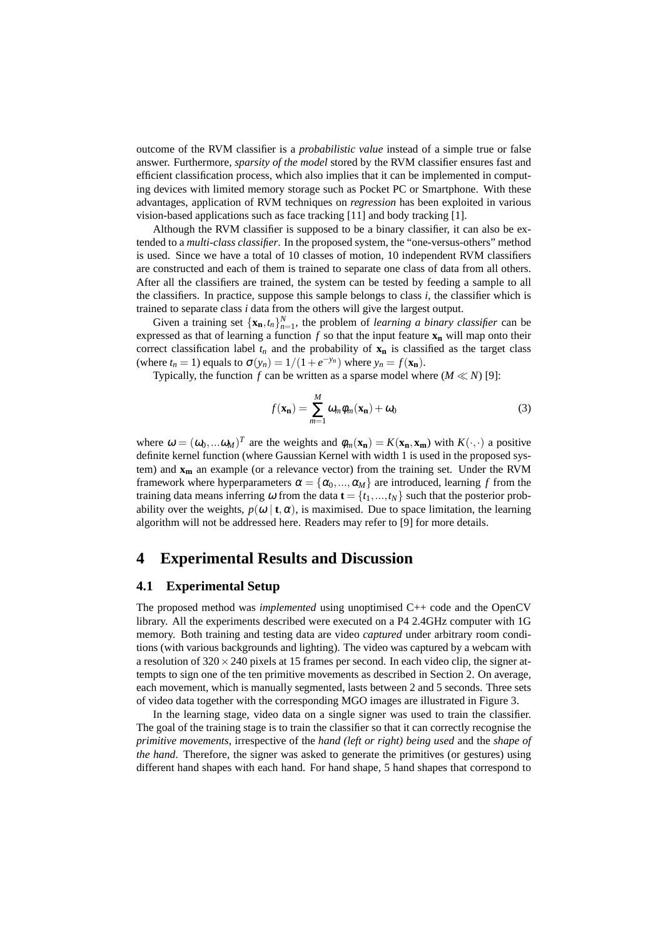outcome of the RVM classifier is a *probabilistic value* instead of a simple true or false answer. Furthermore, *sparsity of the model* stored by the RVM classifier ensures fast and efficient classification process, which also implies that it can be implemented in computing devices with limited memory storage such as Pocket PC or Smartphone. With these advantages, application of RVM techniques on *regression* has been exploited in various vision-based applications such as face tracking [11] and body tracking [1].

Although the RVM classifier is supposed to be a binary classifier, it can also be extended to a *multi-class classifier*. In the proposed system, the "one-versus-others" method is used. Since we have a total of 10 classes of motion, 10 independent RVM classifiers are constructed and each of them is trained to separate one class of data from all others. After all the classifiers are trained, the system can be tested by feeding a sample to all the classifiers. In practice, suppose this sample belongs to class  $i$ , the classifier which is trained to separate class *i* data from the others will give the largest output.

Given a training set  $\{\mathbf{x}_n, t_n\}_{n=1}^N$ , the problem of *learning a binary classifier* can be expressed as that of learning a function  $f$  so that the input feature  $\mathbf{x}_n$  will map onto their correct classification label  $t_n$  and the probability of  $\mathbf{x}_n$  is classified as the target class (where  $t_n = 1$ ) equals to  $\sigma(y_n) = 1/(1 + e^{-y_n})$  where  $y_n = f(\mathbf{x_n})$ .

Typically, the function *f* can be written as a sparse model where  $(M \ll N)$  [9]:

$$
f(\mathbf{x_n}) = \sum_{m=1}^{M} \omega_m \phi_m(\mathbf{x_n}) + \omega_0
$$
 (3)

where  $\omega = (\omega_0, \dots \omega_M)^T$  are the weights and  $\phi_m(\mathbf{x_n}) = K(\mathbf{x_n}, \mathbf{x_m})$  with  $K(\cdot, \cdot)$  a positive definite kernel function (where Gaussian Kernel with width 1 is used in the proposed system) and **x<sup>m</sup>** an example (or a relevance vector) from the training set. Under the RVM framework where hyperparameters  $\alpha = {\alpha_0, ..., \alpha_M}$  are introduced, learning f from the training data means inferring  $\omega$  from the data  $\mathbf{t} = \{t_1, \ldots, t_N\}$  such that the posterior probability over the weights,  $p(\omega | t, \alpha)$ , is maximised. Due to space limitation, the learning algorithm will not be addressed here. Readers may refer to [9] for more details.

## **4 Experimental Results and Discussion**

#### **4.1 Experimental Setup**

The proposed method was *implemented* using unoptimised C++ code and the OpenCV library. All the experiments described were executed on a P4 2.4GHz computer with 1G memory. Both training and testing data are video *captured* under arbitrary room conditions (with various backgrounds and lighting). The video was captured by a webcam with a resolution of  $320 \times 240$  pixels at 15 frames per second. In each video clip, the signer attempts to sign one of the ten primitive movements as described in Section 2. On average, each movement, which is manually segmented, lasts between 2 and 5 seconds. Three sets of video data together with the corresponding MGO images are illustrated in Figure 3.

In the learning stage, video data on a single signer was used to train the classifier. The goal of the training stage is to train the classifier so that it can correctly recognise the *primitive movements*, irrespective of the *hand (left or right) being used* and the *shape of the hand*. Therefore, the signer was asked to generate the primitives (or gestures) using different hand shapes with each hand. For hand shape, 5 hand shapes that correspond to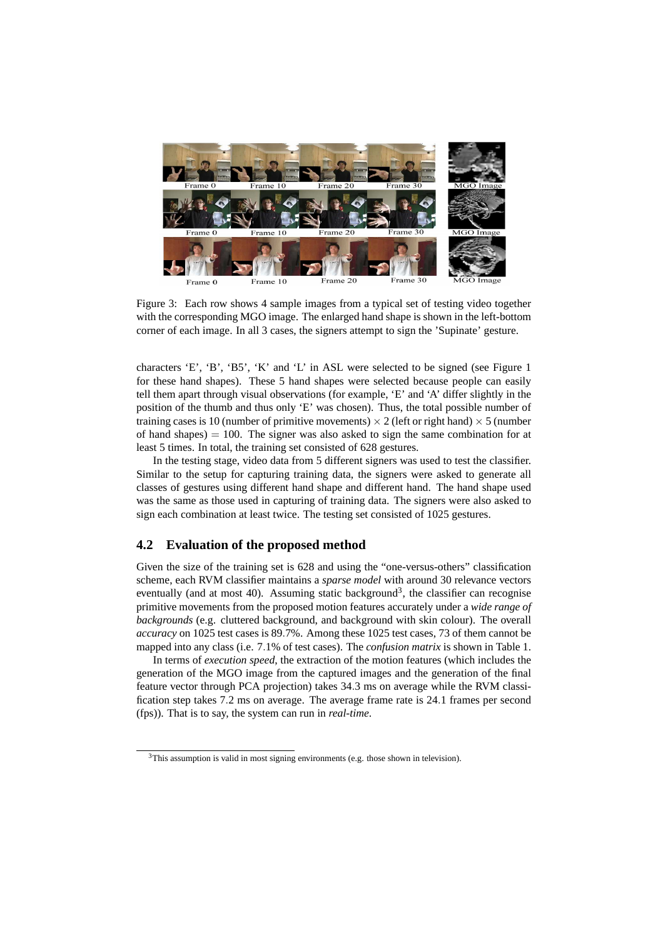

Figure 3: Each row shows 4 sample images from a typical set of testing video together with the corresponding MGO image. The enlarged hand shape is shown in the left-bottom corner of each image. In all 3 cases, the signers attempt to sign the 'Supinate' gesture.

characters 'E', 'B', 'B5', 'K' and 'L' in ASL were selected to be signed (see Figure 1 for these hand shapes). These 5 hand shapes were selected because people can easily tell them apart through visual observations (for example, 'E' and 'A' differ slightly in the position of the thumb and thus only 'E' was chosen). Thus, the total possible number of training cases is 10 (number of primitive movements)  $\times$  2 (left or right hand)  $\times$  5 (number of hand shapes)  $= 100$ . The signer was also asked to sign the same combination for at least 5 times. In total, the training set consisted of 628 gestures.

In the testing stage, video data from 5 different signers was used to test the classifier. Similar to the setup for capturing training data, the signers were asked to generate all classes of gestures using different hand shape and different hand. The hand shape used was the same as those used in capturing of training data. The signers were also asked to sign each combination at least twice. The testing set consisted of 1025 gestures.

#### **4.2 Evaluation of the proposed method**

Given the size of the training set is 628 and using the "one-versus-others" classification scheme, each RVM classifier maintains a *sparse model* with around 30 relevance vectors eventually (and at most 40). Assuming static background<sup>3</sup>, the classifier can recognise primitive movements from the proposed motion features accurately under a *wide range of backgrounds* (e.g. cluttered background, and background with skin colour). The overall *accuracy* on 1025 test cases is 89.7%. Among these 1025 test cases, 73 of them cannot be mapped into any class (i.e. 7.1% of test cases). The *confusion matrix* is shown in Table 1.

In terms of *execution speed*, the extraction of the motion features (which includes the generation of the MGO image from the captured images and the generation of the final feature vector through PCA projection) takes 34.3 ms on average while the RVM classification step takes 7.2 ms on average. The average frame rate is 24.1 frames per second (fps)). That is to say, the system can run in *real-time*.

 $3$ This assumption is valid in most signing environments (e.g. those shown in television).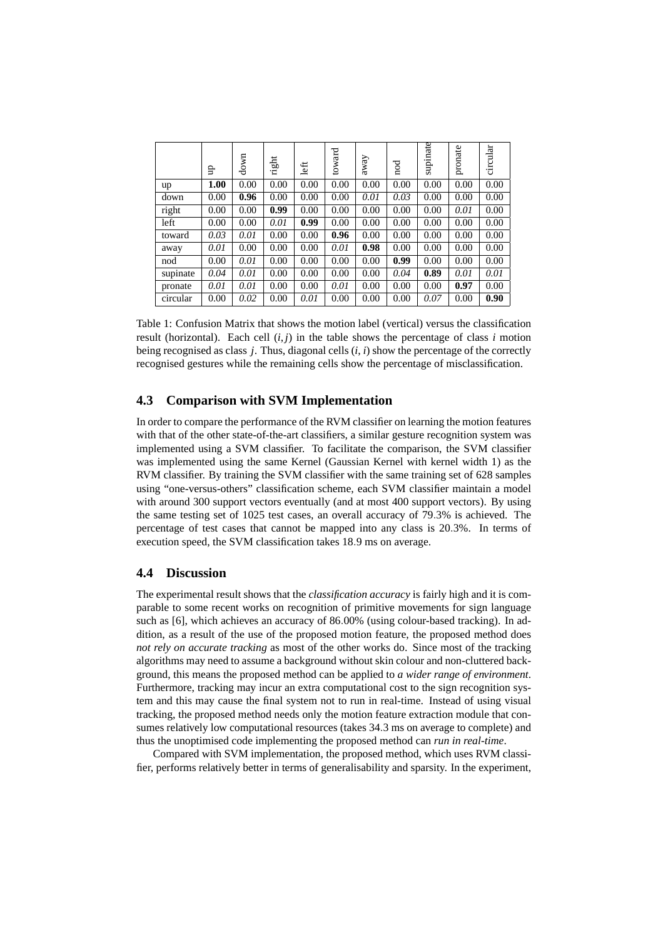|          | ਦੂ   | down | right | left | toward | away | nod  | supinate | pronate | circular |
|----------|------|------|-------|------|--------|------|------|----------|---------|----------|
| up       | 1.00 | 0.00 | 0.00  | 0.00 | 0.00   | 0.00 | 0.00 | 0.00     | 0.00    | 0.00     |
| down     | 0.00 | 0.96 | 0.00  | 0.00 | 0.00   | 0.01 | 0.03 | 0.00     | 0.00    | 0.00     |
| right    | 0.00 | 0.00 | 0.99  | 0.00 | 0.00   | 0.00 | 0.00 | 0.00     | 0.01    | 0.00     |
| left     | 0.00 | 0.00 | 0.01  | 0.99 | 0.00   | 0.00 | 0.00 | 0.00     | 0.00    | 0.00     |
| toward   | 0.03 | 0.01 | 0.00  | 0.00 | 0.96   | 0.00 | 0.00 | 0.00     | 0.00    | 0.00     |
| away     | 0.01 | 0.00 | 0.00  | 0.00 | 0.01   | 0.98 | 0.00 | 0.00     | 0.00    | 0.00     |
| nod      | 0.00 | 0.01 | 0.00  | 0.00 | 0.00   | 0.00 | 0.99 | 0.00     | 0.00    | 0.00     |
| supinate | 0.04 | 0.01 | 0.00  | 0.00 | 0.00   | 0.00 | 0.04 | 0.89     | 0.01    | 0.01     |
| pronate  | 0.01 | 0.01 | 0.00  | 0.00 | 0.01   | 0.00 | 0.00 | 0.00     | 0.97    | 0.00     |
| circular | 0.00 | 0.02 | 0.00  | 0.01 | 0.00   | 0.00 | 0.00 | 0.07     | 0.00    | 0.90     |

Table 1: Confusion Matrix that shows the motion label (vertical) versus the classification result (horizontal). Each cell  $(i, j)$  in the table shows the percentage of class *i* motion being recognised as class *j*. Thus, diagonal cells (*i*, *i*) show the percentage of the correctly recognised gestures while the remaining cells show the percentage of misclassification.

## **4.3 Comparison with SVM Implementation**

In order to compare the performance of the RVM classifier on learning the motion features with that of the other state-of-the-art classifiers, a similar gesture recognition system was implemented using a SVM classifier. To facilitate the comparison, the SVM classifier was implemented using the same Kernel (Gaussian Kernel with kernel width 1) as the RVM classifier. By training the SVM classifier with the same training set of 628 samples using "one-versus-others" classification scheme, each SVM classifier maintain a model with around 300 support vectors eventually (and at most 400 support vectors). By using the same testing set of 1025 test cases, an overall accuracy of 79.3% is achieved. The percentage of test cases that cannot be mapped into any class is 20.3%. In terms of execution speed, the SVM classification takes 18.9 ms on average.

#### **4.4 Discussion**

The experimental result shows that the *classification accuracy* is fairly high and it is comparable to some recent works on recognition of primitive movements for sign language such as [6], which achieves an accuracy of 86.00% (using colour-based tracking). In addition, as a result of the use of the proposed motion feature, the proposed method does *not rely on accurate tracking* as most of the other works do. Since most of the tracking algorithms may need to assume a background without skin colour and non-cluttered background, this means the proposed method can be applied to *a wider range of environment*. Furthermore, tracking may incur an extra computational cost to the sign recognition system and this may cause the final system not to run in real-time. Instead of using visual tracking, the proposed method needs only the motion feature extraction module that consumes relatively low computational resources (takes 34.3 ms on average to complete) and thus the unoptimised code implementing the proposed method can *run in real-time*.

Compared with SVM implementation, the proposed method, which uses RVM classifier, performs relatively better in terms of generalisability and sparsity. In the experiment,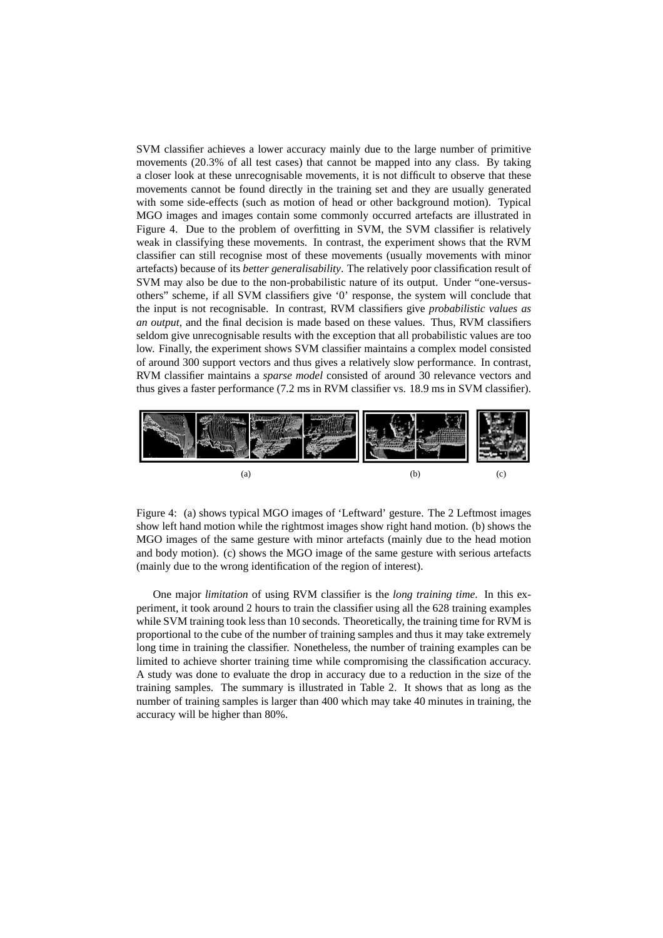SVM classifier achieves a lower accuracy mainly due to the large number of primitive movements (20.3% of all test cases) that cannot be mapped into any class. By taking a closer look at these unrecognisable movements, it is not difficult to observe that these movements cannot be found directly in the training set and they are usually generated with some side-effects (such as motion of head or other background motion). Typical MGO images and images contain some commonly occurred artefacts are illustrated in Figure 4. Due to the problem of overfitting in SVM, the SVM classifier is relatively weak in classifying these movements. In contrast, the experiment shows that the RVM classifier can still recognise most of these movements (usually movements with minor artefacts) because of its *better generalisability*. The relatively poor classification result of SVM may also be due to the non-probabilistic nature of its output. Under "one-versusothers" scheme, if all SVM classifiers give '0' response, the system will conclude that the input is not recognisable. In contrast, RVM classifiers give *probabilistic values as an output*, and the final decision is made based on these values. Thus, RVM classifiers seldom give unrecognisable results with the exception that all probabilistic values are too low. Finally, the experiment shows SVM classifier maintains a complex model consisted of around 300 support vectors and thus gives a relatively slow performance. In contrast, RVM classifier maintains a *sparse model* consisted of around 30 relevance vectors and thus gives a faster performance (7.2 ms in RVM classifier vs. 18.9 ms in SVM classifier).



Figure 4: (a) shows typical MGO images of 'Leftward' gesture. The 2 Leftmost images show left hand motion while the rightmost images show right hand motion. (b) shows the MGO images of the same gesture with minor artefacts (mainly due to the head motion and body motion). (c) shows the MGO image of the same gesture with serious artefacts (mainly due to the wrong identification of the region of interest).

One major *limitation* of using RVM classifier is the *long training time*. In this experiment, it took around 2 hours to train the classifier using all the 628 training examples while SVM training took less than 10 seconds. Theoretically, the training time for RVM is proportional to the cube of the number of training samples and thus it may take extremely long time in training the classifier. Nonetheless, the number of training examples can be limited to achieve shorter training time while compromising the classification accuracy. A study was done to evaluate the drop in accuracy due to a reduction in the size of the training samples. The summary is illustrated in Table 2. It shows that as long as the number of training samples is larger than 400 which may take 40 minutes in training, the accuracy will be higher than 80%.